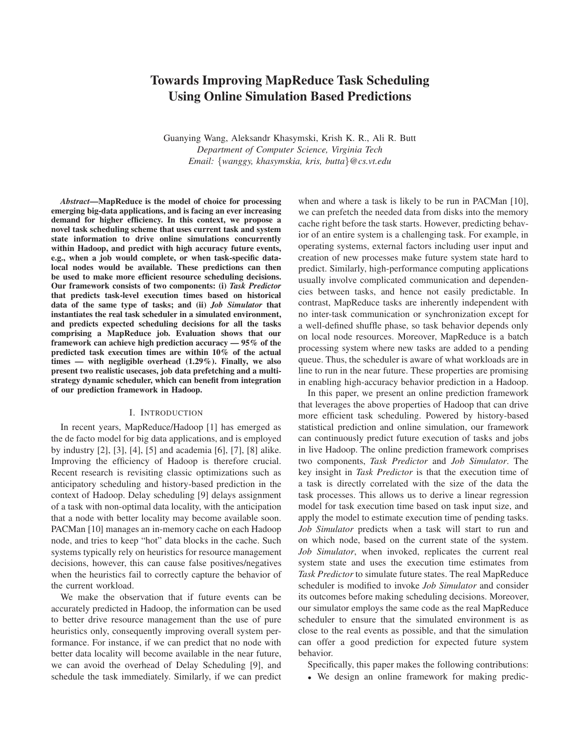# **Towards Improving MapReduce Task Scheduling Using Online Simulation Based Predictions**

Guanying Wang, Aleksandr Khasymski, Krish K. R., Ali R. Butt *Department of Computer Science, Virginia Tech Email:* {*wanggy, khasymskia, kris, butta*}*@cs.vt.edu*

*Abstract***—MapReduce is the model of choice for processing emerging big-data applications, and is facing an ever increasing demand for higher efficiency. In this context, we propose a novel task scheduling scheme that uses current task and system state information to drive online simulations concurrently within Hadoop, and predict with high accuracy future events, e.g., when a job would complete, or when task-specific datalocal nodes would be available. These predictions can then be used to make more efficient resource scheduling decisions. Our framework consists of two components: (i)** *Task Predictor* **that predicts task-level execution times based on historical data of the same type of tasks; and (ii)** *Job Simulator* **that instantiates the real task scheduler in a simulated environment, and predicts expected scheduling decisions for all the tasks comprising a MapReduce job. Evaluation shows that our framework can achieve high prediction accuracy — 95% of the predicted task execution times are within 10% of the actual times — with negligible overhead (1.29%). Finally, we also present two realistic usecases, job data prefetching and a multistrategy dynamic scheduler, which can benefit from integration of our prediction framework in Hadoop.**

### I. INTRODUCTION

In recent years, MapReduce/Hadoop [1] has emerged as the de facto model for big data applications, and is employed by industry [2], [3], [4], [5] and academia [6], [7], [8] alike. Improving the efficiency of Hadoop is therefore crucial. Recent research is revisiting classic optimizations such as anticipatory scheduling and history-based prediction in the context of Hadoop. Delay scheduling [9] delays assignment of a task with non-optimal data locality, with the anticipation that a node with better locality may become available soon. PACMan [10] manages an in-memory cache on each Hadoop node, and tries to keep "hot" data blocks in the cache. Such systems typically rely on heuristics for resource management decisions, however, this can cause false positives/negatives when the heuristics fail to correctly capture the behavior of the current workload.

We make the observation that if future events can be accurately predicted in Hadoop, the information can be used to better drive resource management than the use of pure heuristics only, consequently improving overall system performance. For instance, if we can predict that no node with better data locality will become available in the near future, we can avoid the overhead of Delay Scheduling [9], and schedule the task immediately. Similarly, if we can predict when and where a task is likely to be run in PACMan [10], we can prefetch the needed data from disks into the memory cache right before the task starts. However, predicting behavior of an entire system is a challenging task. For example, in operating systems, external factors including user input and creation of new processes make future system state hard to predict. Similarly, high-performance computing applications usually involve complicated communication and dependencies between tasks, and hence not easily predictable. In contrast, MapReduce tasks are inherently independent with no inter-task communication or synchronization except for a well-defined shuffle phase, so task behavior depends only on local node resources. Moreover, MapReduce is a batch processing system where new tasks are added to a pending queue. Thus, the scheduler is aware of what workloads are in line to run in the near future. These properties are promising in enabling high-accuracy behavior prediction in a Hadoop.

In this paper, we present an online prediction framework that leverages the above properties of Hadoop that can drive more efficient task scheduling. Powered by history-based statistical prediction and online simulation, our framework can continuously predict future execution of tasks and jobs in live Hadoop. The online prediction framework comprises two components, *Task Predictor* and *Job Simulator*. The key insight in *Task Predictor* is that the execution time of a task is directly correlated with the size of the data the task processes. This allows us to derive a linear regression model for task execution time based on task input size, and apply the model to estimate execution time of pending tasks. *Job Simulator* predicts when a task will start to run and on which node, based on the current state of the system. *Job Simulator*, when invoked, replicates the current real system state and uses the execution time estimates from *Task Predictor* to simulate future states. The real MapReduce scheduler is modified to invoke *Job Simulator* and consider its outcomes before making scheduling decisions. Moreover, our simulator employs the same code as the real MapReduce scheduler to ensure that the simulated environment is as close to the real events as possible, and that the simulation can offer a good prediction for expected future system behavior.

Specifically, this paper makes the following contributions:

• We design an online framework for making predic-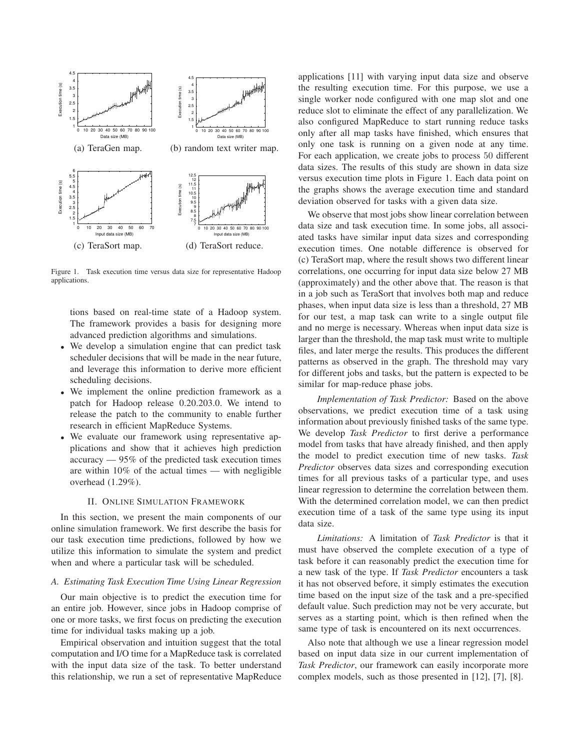

Figure 1. Task execution time versus data size for representative Hadoop applications.

tions based on real-time state of a Hadoop system. The framework provides a basis for designing more advanced prediction algorithms and simulations.

- We develop a simulation engine that can predict task scheduler decisions that will be made in the near future, and leverage this information to derive more efficient scheduling decisions.
- We implement the online prediction framework as a patch for Hadoop release 0.20.203.0. We intend to release the patch to the community to enable further research in efficient MapReduce Systems.
- We evaluate our framework using representative applications and show that it achieves high prediction accuracy — 95% of the predicted task execution times are within 10% of the actual times — with negligible overhead (1.29%).

#### II. ONLINE SIMULATION FRAMEWORK

In this section, we present the main components of our online simulation framework. We first describe the basis for our task execution time predictions, followed by how we utilize this information to simulate the system and predict when and where a particular task will be scheduled.

#### *A. Estimating Task Execution Time Using Linear Regression*

Our main objective is to predict the execution time for an entire job. However, since jobs in Hadoop comprise of one or more tasks, we first focus on predicting the execution time for individual tasks making up a job.

Empirical observation and intuition suggest that the total computation and I/O time for a MapReduce task is correlated with the input data size of the task. To better understand this relationship, we run a set of representative MapReduce applications [11] with varying input data size and observe the resulting execution time. For this purpose, we use a single worker node configured with one map slot and one reduce slot to eliminate the effect of any parallelization. We also configured MapReduce to start running reduce tasks only after all map tasks have finished, which ensures that only one task is running on a given node at any time. For each application, we create jobs to process 50 different data sizes. The results of this study are shown in data size versus execution time plots in Figure 1. Each data point on the graphs shows the average execution time and standard deviation observed for tasks with a given data size.

We observe that most jobs show linear correlation between data size and task execution time. In some jobs, all associated tasks have similar input data sizes and corresponding execution times. One notable difference is observed for (c) TeraSort map, where the result shows two different linear correlations, one occurring for input data size below 27 MB (approximately) and the other above that. The reason is that in a job such as TeraSort that involves both map and reduce phases, when input data size is less than a threshold, 27 MB for our test, a map task can write to a single output file and no merge is necessary. Whereas when input data size is larger than the threshold, the map task must write to multiple files, and later merge the results. This produces the different patterns as observed in the graph. The threshold may vary for different jobs and tasks, but the pattern is expected to be similar for map-reduce phase jobs.

*Implementation of Task Predictor:* Based on the above observations, we predict execution time of a task using information about previously finished tasks of the same type. We develop *Task Predictor* to first derive a performance model from tasks that have already finished, and then apply the model to predict execution time of new tasks. *Task Predictor* observes data sizes and corresponding execution times for all previous tasks of a particular type, and uses linear regression to determine the correlation between them. With the determined correlation model, we can then predict execution time of a task of the same type using its input data size.

*Limitations:* A limitation of *Task Predictor* is that it must have observed the complete execution of a type of task before it can reasonably predict the execution time for a new task of the type. If *Task Predictor* encounters a task it has not observed before, it simply estimates the execution time based on the input size of the task and a pre-specified default value. Such prediction may not be very accurate, but serves as a starting point, which is then refined when the same type of task is encountered on its next occurrences.

Also note that although we use a linear regression model based on input data size in our current implementation of *Task Predictor*, our framework can easily incorporate more complex models, such as those presented in [12], [7], [8].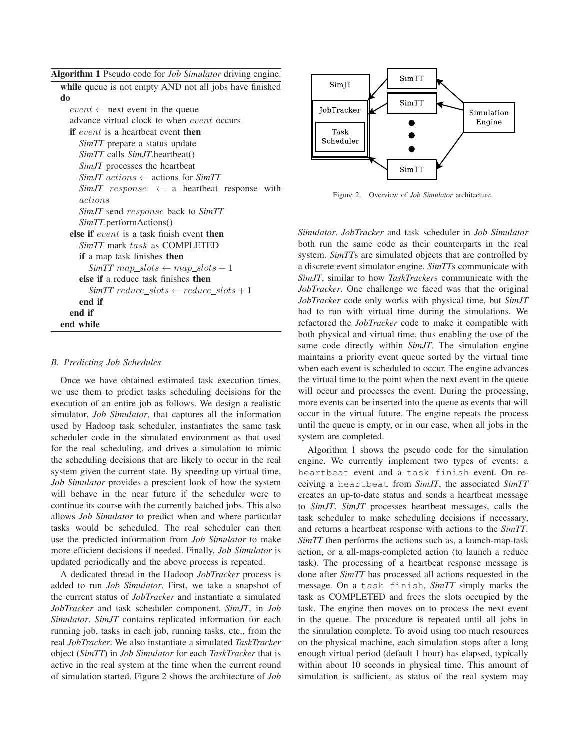**Algorithm 1** Pseudo code for *Job Simulator* driving engine.

**while** queue is not empty AND not all jobs have finished **do**  $event \leftarrow$  next event in the queue advance virtual clock to when event occurs **if** event is a heartbeat event **then** *SimTT* prepare a status update *SimTT* calls *SimJT*.heartbeat() *SimJT* processes the heartbeat *SimJT* actions ← actions for *SimTT*  $SimJT$  response  $\leftarrow$  a heartbeat response with actions *SimJT* send response back to *SimTT SimTT*.performActions() **else if** event is a task finish event **then** *SimTT* mark task as COMPLETED **if** a map task finishes **then**  $SimTT$  map  $slots \leftarrow map\_slots + 1$ **else if** a reduce task finishes **then**  $SimTT$   $reduce\_ slots \leftarrow reduce\_ slots + 1$ **end if end if end while**

#### *B. Predicting Job Schedules*

Once we have obtained estimated task execution times, we use them to predict tasks scheduling decisions for the execution of an entire job as follows. We design a realistic simulator, *Job Simulator*, that captures all the information used by Hadoop task scheduler, instantiates the same task scheduler code in the simulated environment as that used for the real scheduling, and drives a simulation to mimic the scheduling decisions that are likely to occur in the real system given the current state. By speeding up virtual time, *Job Simulator* provides a prescient look of how the system will behave in the near future if the scheduler were to continue its course with the currently batched jobs. This also allows *Job Simulator* to predict when and where particular tasks would be scheduled. The real scheduler can then use the predicted information from *Job Simulator* to make more efficient decisions if needed. Finally, *Job Simulator* is updated periodically and the above process is repeated.

A dedicated thread in the Hadoop *JobTracker* process is added to run *Job Simulator*. First, we take a snapshot of the current status of *JobTracker* and instantiate a simulated *JobTracker* and task scheduler component, *SimJT*, in *Job Simulator*. *SimJT* contains replicated information for each running job, tasks in each job, running tasks, etc., from the real *JobTracker*. We also instantiate a simulated *TaskTracker* object (*SimTT*) in *Job Simulator* for each *TaskTracker* that is active in the real system at the time when the current round of simulation started. Figure 2 shows the architecture of *Job*



Figure 2. Overview of *Job Simulator* architecture.

*Simulator*. *JobTracker* and task scheduler in *Job Simulator* both run the same code as their counterparts in the real system. *SimTT*s are simulated objects that are controlled by a discrete event simulator engine. *SimTT*s communicate with *SimJT*, similar to how *TaskTracker*s communicate with the *JobTracker*. One challenge we faced was that the original *JobTracker* code only works with physical time, but *SimJT* had to run with virtual time during the simulations. We refactored the *JobTracker* code to make it compatible with both physical and virtual time, thus enabling the use of the same code directly within *SimJT*. The simulation engine maintains a priority event queue sorted by the virtual time when each event is scheduled to occur. The engine advances the virtual time to the point when the next event in the queue will occur and processes the event. During the processing, more events can be inserted into the queue as events that will occur in the virtual future. The engine repeats the process until the queue is empty, or in our case, when all jobs in the system are completed.

Algorithm 1 shows the pseudo code for the simulation engine. We currently implement two types of events: a heartbeat event and a task finish event. On receiving a heartbeat from *SimJT*, the associated *SimTT* creates an up-to-date status and sends a heartbeat message to *SimJT*. *SimJT* processes heartbeat messages, calls the task scheduler to make scheduling decisions if necessary, and returns a heartbeat response with actions to the *SimTT*. *SimTT* then performs the actions such as, a launch-map-task action, or a all-maps-completed action (to launch a reduce task). The processing of a heartbeat response message is done after *SimTT* has processed all actions requested in the message. On a task finish, *SimTT* simply marks the task as COMPLETED and frees the slots occupied by the task. The engine then moves on to process the next event in the queue. The procedure is repeated until all jobs in the simulation complete. To avoid using too much resources on the physical machine, each simulation stops after a long enough virtual period (default 1 hour) has elapsed, typically within about 10 seconds in physical time. This amount of simulation is sufficient, as status of the real system may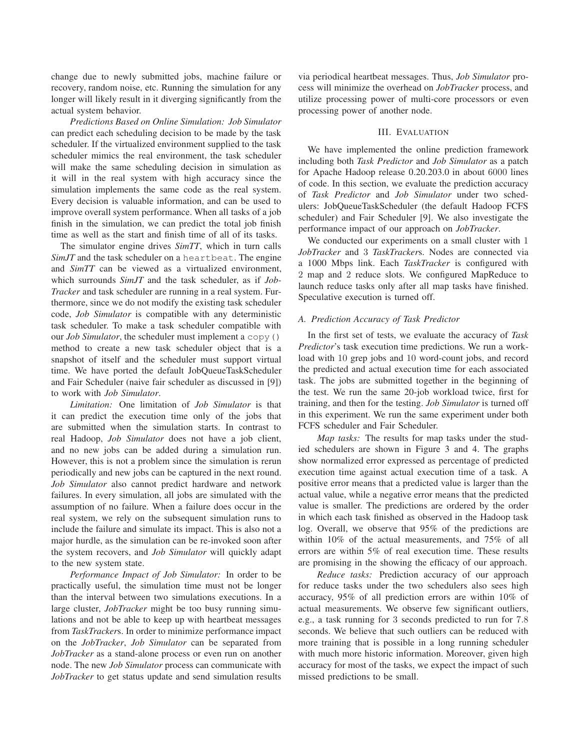change due to newly submitted jobs, machine failure or recovery, random noise, etc. Running the simulation for any longer will likely result in it diverging significantly from the actual system behavior.

*Predictions Based on Online Simulation: Job Simulator* can predict each scheduling decision to be made by the task scheduler. If the virtualized environment supplied to the task scheduler mimics the real environment, the task scheduler will make the same scheduling decision in simulation as it will in the real system with high accuracy since the simulation implements the same code as the real system. Every decision is valuable information, and can be used to improve overall system performance. When all tasks of a job finish in the simulation, we can predict the total job finish time as well as the start and finish time of all of its tasks.

The simulator engine drives *SimTT*, which in turn calls *SimJT* and the task scheduler on a heartbeat. The engine and *SimTT* can be viewed as a virtualized environment, which surrounds *SimJT* and the task scheduler, as if *Job-Tracker* and task scheduler are running in a real system. Furthermore, since we do not modify the existing task scheduler code, *Job Simulator* is compatible with any deterministic task scheduler. To make a task scheduler compatible with our *Job Simulator*, the scheduler must implement a copy() method to create a new task scheduler object that is a snapshot of itself and the scheduler must support virtual time. We have ported the default JobQueueTaskScheduler and Fair Scheduler (naive fair scheduler as discussed in [9]) to work with *Job Simulator*.

*Limitation:* One limitation of *Job Simulator* is that it can predict the execution time only of the jobs that are submitted when the simulation starts. In contrast to real Hadoop, *Job Simulator* does not have a job client, and no new jobs can be added during a simulation run. However, this is not a problem since the simulation is rerun periodically and new jobs can be captured in the next round. *Job Simulator* also cannot predict hardware and network failures. In every simulation, all jobs are simulated with the assumption of no failure. When a failure does occur in the real system, we rely on the subsequent simulation runs to include the failure and simulate its impact. This is also not a major hurdle, as the simulation can be re-invoked soon after the system recovers, and *Job Simulator* will quickly adapt to the new system state.

*Performance Impact of Job Simulator:* In order to be practically useful, the simulation time must not be longer than the interval between two simulations executions. In a large cluster, *JobTracker* might be too busy running simulations and not be able to keep up with heartbeat messages from *TaskTracker*s. In order to minimize performance impact on the *JobTracker*, *Job Simulator* can be separated from *JobTracker* as a stand-alone process or even run on another node. The new *Job Simulator* process can communicate with *JobTracker* to get status update and send simulation results via periodical heartbeat messages. Thus, *Job Simulator* process will minimize the overhead on *JobTracker* process, and utilize processing power of multi-core processors or even processing power of another node.

### III. EVALUATION

We have implemented the online prediction framework including both *Task Predictor* and *Job Simulator* as a patch for Apache Hadoop release 0.20.203.0 in about 6000 lines of code. In this section, we evaluate the prediction accuracy of *Task Predictor* and *Job Simulator* under two schedulers: JobQueueTaskScheduler (the default Hadoop FCFS scheduler) and Fair Scheduler [9]. We also investigate the performance impact of our approach on *JobTracker*.

We conducted our experiments on a small cluster with 1 *JobTracker* and 3 *TaskTracker*s. Nodes are connected via a 1000 Mbps link. Each *TaskTracker* is configured with 2 map and 2 reduce slots. We configured MapReduce to launch reduce tasks only after all map tasks have finished. Speculative execution is turned off.

#### *A. Prediction Accuracy of Task Predictor*

In the first set of tests, we evaluate the accuracy of *Task Predictor*'s task execution time predictions. We run a workload with 10 grep jobs and 10 word-count jobs, and record the predicted and actual execution time for each associated task. The jobs are submitted together in the beginning of the test. We run the same 20-job workload twice, first for training, and then for the testing. *Job Simulator* is turned off in this experiment. We run the same experiment under both FCFS scheduler and Fair Scheduler.

*Map tasks:* The results for map tasks under the studied schedulers are shown in Figure 3 and 4. The graphs show normalized error expressed as percentage of predicted execution time against actual execution time of a task. A positive error means that a predicted value is larger than the actual value, while a negative error means that the predicted value is smaller. The predictions are ordered by the order in which each task finished as observed in the Hadoop task log. Overall, we observe that 95% of the predictions are within 10% of the actual measurements, and 75% of all errors are within 5% of real execution time. These results are promising in the showing the efficacy of our approach.

*Reduce tasks:* Prediction accuracy of our approach for reduce tasks under the two schedulers also sees high accuracy, 95% of all prediction errors are within 10% of actual measurements. We observe few significant outliers, e.g., a task running for 3 seconds predicted to run for 7.8 seconds. We believe that such outliers can be reduced with more training that is possible in a long running scheduler with much more historic information. Moreover, given high accuracy for most of the tasks, we expect the impact of such missed predictions to be small.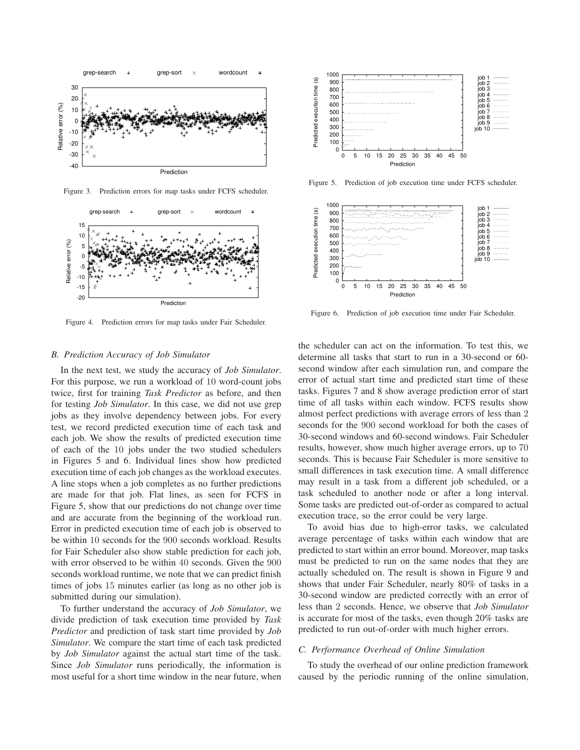

Figure 3. Prediction errors for map tasks under FCFS scheduler.



Figure 4. Prediction errors for map tasks under Fair Scheduler.

#### *B. Prediction Accuracy of Job Simulator*

In the next test, we study the accuracy of *Job Simulator*. For this purpose, we run a workload of 10 word-count jobs twice, first for training *Task Predictor* as before, and then for testing *Job Simulator*. In this case, we did not use grep jobs as they involve dependency between jobs. For every test, we record predicted execution time of each task and each job. We show the results of predicted execution time of each of the 10 jobs under the two studied schedulers in Figures 5 and 6. Individual lines show how predicted execution time of each job changes as the workload executes. A line stops when a job completes as no further predictions are made for that job. Flat lines, as seen for FCFS in Figure 5, show that our predictions do not change over time and are accurate from the beginning of the workload run. Error in predicted execution time of each job is observed to be within 10 seconds for the 900 seconds workload. Results for Fair Scheduler also show stable prediction for each job, with error observed to be within 40 seconds. Given the 900 seconds workload runtime, we note that we can predict finish times of jobs 15 minutes earlier (as long as no other job is submitted during our simulation).

To further understand the accuracy of *Job Simulator*, we divide prediction of task execution time provided by *Task Predictor* and prediction of task start time provided by *Job Simulator*. We compare the start time of each task predicted by *Job Simulator* against the actual start time of the task. Since *Job Simulator* runs periodically, the information is most useful for a short time window in the near future, when



Figure 5. Prediction of job execution time under FCFS scheduler.



Figure 6. Prediction of job execution time under Fair Scheduler.

the scheduler can act on the information. To test this, we determine all tasks that start to run in a 30-second or 60 second window after each simulation run, and compare the error of actual start time and predicted start time of these tasks. Figures 7 and 8 show average prediction error of start time of all tasks within each window. FCFS results show almost perfect predictions with average errors of less than 2 seconds for the 900 second workload for both the cases of 30-second windows and 60-second windows. Fair Scheduler results, however, show much higher average errors, up to 70 seconds. This is because Fair Scheduler is more sensitive to small differences in task execution time. A small difference may result in a task from a different job scheduled, or a task scheduled to another node or after a long interval. Some tasks are predicted out-of-order as compared to actual execution trace, so the error could be very large.

To avoid bias due to high-error tasks, we calculated average percentage of tasks within each window that are predicted to start within an error bound. Moreover, map tasks must be predicted to run on the same nodes that they are actually scheduled on. The result is shown in Figure 9 and shows that under Fair Scheduler, nearly 80% of tasks in a 30-second window are predicted correctly with an error of less than 2 seconds. Hence, we observe that *Job Simulator* is accurate for most of the tasks, even though 20% tasks are predicted to run out-of-order with much higher errors.

#### *C. Performance Overhead of Online Simulation*

To study the overhead of our online prediction framework caused by the periodic running of the online simulation,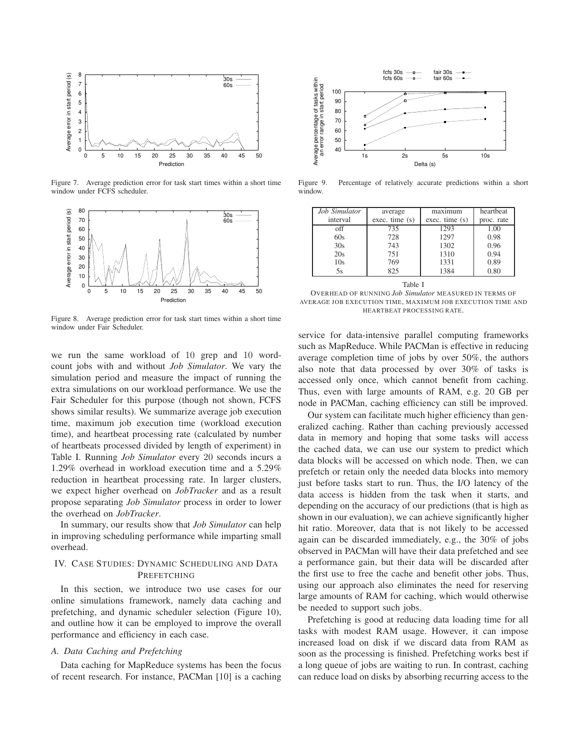

Figure 7. Average prediction error for task start times within a short time window under FCFS scheduler.



Figure 8. Average prediction error for task start times within a short time window under Fair Scheduler.

we run the same workload of 10 grep and 10 wordcount jobs with and without *Job Simulator*. We vary the simulation period and measure the impact of running the extra simulations on our workload performance. We use the Fair Scheduler for this purpose (though not shown, FCFS shows similar results). We summarize average job execution time, maximum job execution time (workload execution time), and heartbeat processing rate (calculated by number of heartbeats processed divided by length of experiment) in Table I. Running *Job Simulator* every 20 seconds incurs a 1.29% overhead in workload execution time and a 5.29% reduction in heartbeat processing rate. In larger clusters, we expect higher overhead on *JobTracker* and as a result propose separating *Job Simulator* process in order to lower the overhead on *JobTracker*.

In summary, our results show that *Job Simulator* can help in improving scheduling performance while imparting small overhead.

## IV. CASE STUDIES: DYNAMIC SCHEDULING AND DATA PREFETCHING

In this section, we introduce two use cases for our online simulations framework, namely data caching and prefetching, and dynamic scheduler selection (Figure 10), and outline how it can be employed to improve the overall performance and efficiency in each case.

## *A. Data Caching and Prefetching*

Data caching for MapReduce systems has been the focus of recent research. For instance, PACMan [10] is a caching



Figure 9. Percentage of relatively accurate predictions within a short window.

| Job Simulator | average       | maximum       | heartheat  |  |  |  |
|---------------|---------------|---------------|------------|--|--|--|
| interval      | exec. time(s) | exec. time(s) | proc. rate |  |  |  |
| off           | 735           | 1293          | 1.00       |  |  |  |
| 60s           | 728           | 1297          | 0.98       |  |  |  |
| 30s           | 743           | 1302          | 0.96       |  |  |  |
| 20s           | 751           | 1310          | 0.94       |  |  |  |
| 10s           | 769           | 1331          | 0.89       |  |  |  |
| 5s            | 825           | 1384          | 0.80       |  |  |  |
| Table I       |               |               |            |  |  |  |

OVERHEAD OF RUNNING *Job Simulator* MEASURED IN TERMS OF AVERAGE JOB EXECUTION TIME, MAXIMUM JOB EXECUTION TIME AND HEARTBEAT PROCESSING RATE.

service for data-intensive parallel computing frameworks such as MapReduce. While PACMan is effective in reducing average completion time of jobs by over 50%, the authors also note that data processed by over 30% of tasks is accessed only once, which cannot benefit from caching. Thus, even with large amounts of RAM, e.g. 20 GB per node in PACMan, caching efficiency can still be improved.

Our system can facilitate much higher efficiency than generalized caching. Rather than caching previously accessed data in memory and hoping that some tasks will access the cached data, we can use our system to predict which data blocks will be accessed on which node. Then, we can prefetch or retain only the needed data blocks into memory just before tasks start to run. Thus, the I/O latency of the data access is hidden from the task when it starts, and depending on the accuracy of our predictions (that is high as shown in our evaluation), we can achieve significantly higher hit ratio. Moreover, data that is not likely to be accessed again can be discarded immediately, e.g., the 30% of jobs observed in PACMan will have their data prefetched and see a performance gain, but their data will be discarded after the first use to free the cache and benefit other jobs. Thus, using our approach also eliminates the need for reserving large amounts of RAM for caching, which would otherwise be needed to support such jobs.

Prefetching is good at reducing data loading time for all tasks with modest RAM usage. However, it can impose increased load on disk if we discard data from RAM as soon as the processing is finished. Prefetching works best if a long queue of jobs are waiting to run. In contrast, caching can reduce load on disks by absorbing recurring access to the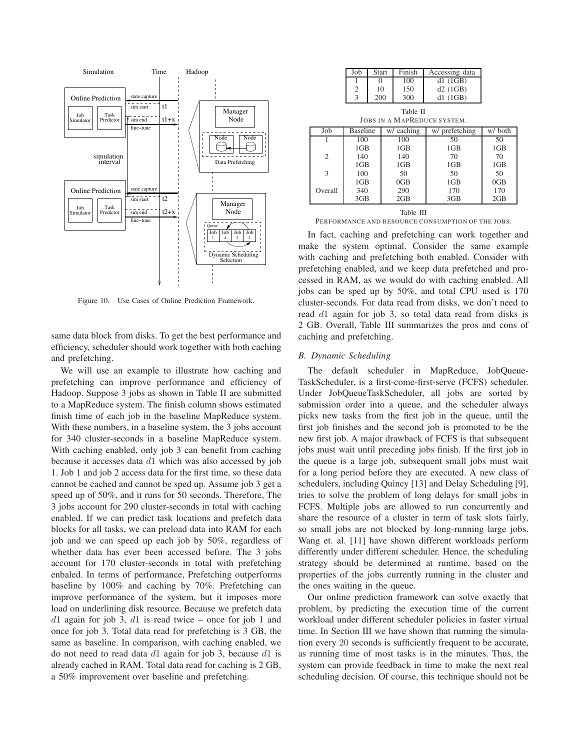

Figure 10. Use Cases of Online Prediction Framework.

same data block from disks. To get the best performance and efficiency, scheduler should work together with both caching and prefetching.

We will use an example to illustrate how caching and prefetching can improve performance and efficiency of Hadoop. Suppose 3 jobs as shown in Table II are submitted to a MapReduce system. The finish column shows estimated finish time of each job in the baseline MapReduce system. With these numbers, in a baseline system, the 3 jobs account for 340 cluster-seconds in a baseline MapReduce system. With caching enabled, only job 3 can benefit from caching because it accesses data d1 which was also accessed by job 1. Job 1 and job 2 access data for the first time, so these data cannot be cached and cannot be sped up. Assume job 3 get a speed up of 50%, and it runs for 50 seconds. Therefore, The 3 jobs account for 290 cluster-seconds in total with caching enabled. If we can predict task locations and prefetch data blocks for all tasks, we can preload data into RAM for each job and we can speed up each job by 50%, regardless of whether data has ever been accessed before. The 3 jobs account for 170 cluster-seconds in total with prefetching enbaled. In terms of performance, Prefetching outperforms baseline by 100% and caching by 70%. Prefetching can improve performance of the system, but it imposes more load on underlining disk resource. Because we prefetch data  $d1$  again for job 3,  $d1$  is read twice – once for job 1 and once for job 3. Total data read for prefetching is 3 GB, the same as baseline. In comparison, with caching enabled, we do not need to read data  $d_1$  again for job 3, because  $d_1$  is already cached in RAM. Total data read for caching is 2 GB, a 50% improvement over baseline and prefetching.

| Job | <b>Start</b> | Finish | Accessing data |
|-----|--------------|--------|----------------|
|     |              | 100    | d1(1GB)        |
| っ   | 10           | 150    | d2(1GB)        |
| 3   | 200          | 300    | d1(1GB)        |

Table II JOBS IN A MAPREDUCE SYSTEM.

| Job                         | <b>Baseline</b> | w/ caching | w/ prefetching | w/both |
|-----------------------------|-----------------|------------|----------------|--------|
|                             | 100             | 100        | 50             | 50     |
|                             | 1GB             | 1GB        | 1GB            | 1GB    |
| $\mathcal{D}_{\mathcal{L}}$ | 140             | 140        | 70             | 70     |
|                             | 1GB             | 1GB        | 1GB            | 1GB    |
| 3                           | 100             | 50         | 50             | 50     |
|                             | 1GB             | 0GB        | 1GB            | 0GB    |
| Overall                     | 340             | 290        | 170            | 170    |
|                             | 3GB             | 2GB        | 3GB            | 2GB    |

Table III PERFORMANCE AND RESOURCE CONSUMPTION OF THE JOBS.

In fact, caching and prefetching can work together and make the system optimal. Consider the same example with caching and prefetching both enabled. Consider with prefetching enabled, and we keep data prefetched and processed in RAM, as we would do with caching enabled. All jobs can be sped up by 50%, and total CPU used is 170 cluster-seconds. For data read from disks, we don't need to read d1 again for job 3, so total data read from disks is 2 GB. Overall, Table III summarizes the pros and cons of caching and prefetching.

#### *B. Dynamic Scheduling*

The default scheduler in MapReduce, JobQueue-TaskScheduler, is a first-come-first-serve (FCFS) scheduler. Under JobQueueTaskScheduler, all jobs are sorted by submission order into a queue, and the scheduler always picks new tasks from the first job in the queue, until the first job finishes and the second job is promoted to be the new first job. A major drawback of FCFS is that subsequent jobs must wait until preceding jobs finish. If the first job in the queue is a large job, subsequent small jobs must wait for a long period before they are executed. A new class of schedulers, including Quincy [13] and Delay Scheduling [9], tries to solve the problem of long delays for small jobs in FCFS. Multiple jobs are allowed to run concurrently and share the resource of a cluster in term of task slots fairly, so small jobs are not blocked by long-running large jobs. Wang et. al. [11] have shown different workloads perform differently under different scheduler. Hence, the scheduling strategy should be determined at runtime, based on the properties of the jobs currently running in the cluster and the ones waiting in the queue.

Our online prediction framework can solve exactly that problem, by predicting the execution time of the current workload under different scheduler policies in faster virtual time. In Section III we have shown that running the simulation every 20 seconds is sufficiently frequent to be accurate, as running time of most tasks is in the minutes. Thus, the system can provide feedback in time to make the next real scheduling decision. Of course, this technique should not be